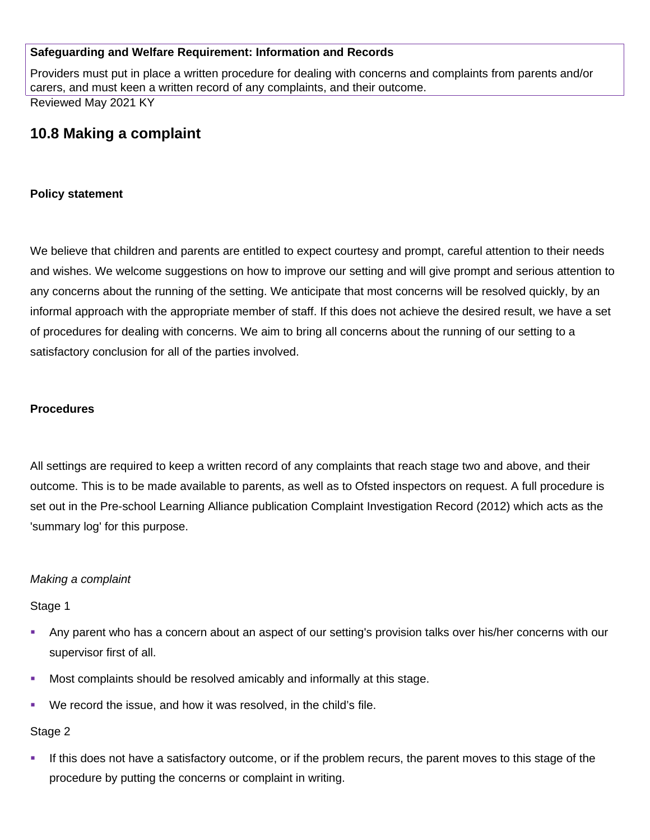## **Safeguarding and Welfare Requirement: Information and Records**

Providers must put in place a written procedure for dealing with concerns and complaints from parents and/or carers, and must keen a written record of any complaints, and their outcome. Reviewed May 2021 KY

## **10.8 Making a complaint**

#### **Policy statement**

We believe that children and parents are entitled to expect courtesy and prompt, careful attention to their needs and wishes. We welcome suggestions on how to improve our setting and will give prompt and serious attention to any concerns about the running of the setting. We anticipate that most concerns will be resolved quickly, by an informal approach with the appropriate member of staff. If this does not achieve the desired result, we have a set of procedures for dealing with concerns. We aim to bring all concerns about the running of our setting to a satisfactory conclusion for all of the parties involved.

#### **Procedures**

All settings are required to keep a written record of any complaints that reach stage two and above, and their outcome. This is to be made available to parents, as well as to Ofsted inspectors on request. A full procedure is set out in the Pre-school Learning Alliance publication Complaint Investigation Record (2012) which acts as the 'summary log' for this purpose.

#### *Making a complaint*

#### Stage 1

- Any parent who has a concern about an aspect of our setting's provision talks over his/her concerns with our supervisor first of all.
- Most complaints should be resolved amicably and informally at this stage.
- We record the issue, and how it was resolved, in the child's file.

#### Stage 2

 If this does not have a satisfactory outcome, or if the problem recurs, the parent moves to this stage of the procedure by putting the concerns or complaint in writing.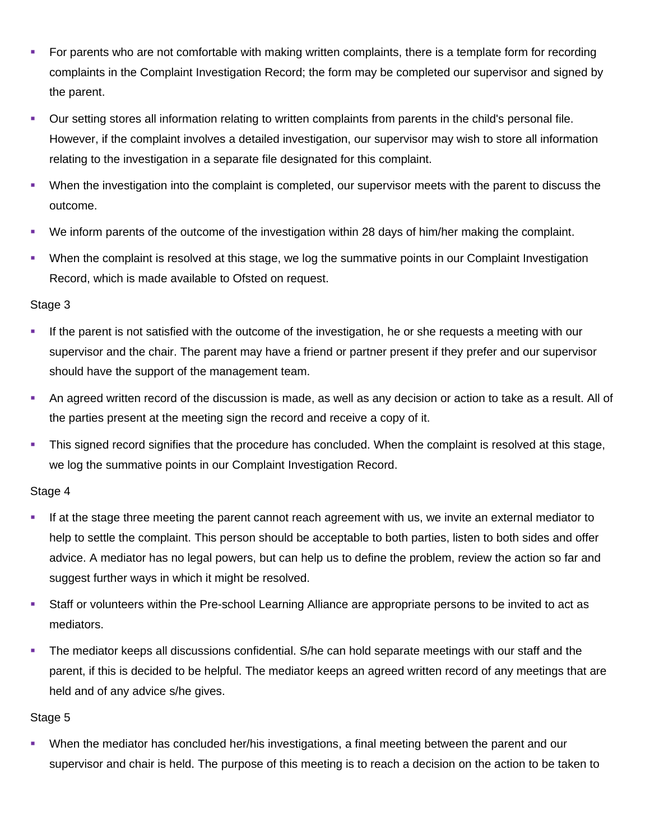- For parents who are not comfortable with making written complaints, there is a template form for recording complaints in the Complaint Investigation Record; the form may be completed our supervisor and signed by the parent.
- Our setting stores all information relating to written complaints from parents in the child's personal file. However, if the complaint involves a detailed investigation, our supervisor may wish to store all information relating to the investigation in a separate file designated for this complaint.
- When the investigation into the complaint is completed, our supervisor meets with the parent to discuss the outcome.
- We inform parents of the outcome of the investigation within 28 days of him/her making the complaint.
- When the complaint is resolved at this stage, we log the summative points in our Complaint Investigation Record, which is made available to Ofsted on request.

## Stage 3

- If the parent is not satisfied with the outcome of the investigation, he or she requests a meeting with our supervisor and the chair. The parent may have a friend or partner present if they prefer and our supervisor should have the support of the management team.
- An agreed written record of the discussion is made, as well as any decision or action to take as a result. All of the parties present at the meeting sign the record and receive a copy of it.
- This signed record signifies that the procedure has concluded. When the complaint is resolved at this stage, we log the summative points in our Complaint Investigation Record.

## Stage 4

- If at the stage three meeting the parent cannot reach agreement with us, we invite an external mediator to help to settle the complaint. This person should be acceptable to both parties, listen to both sides and offer advice. A mediator has no legal powers, but can help us to define the problem, review the action so far and suggest further ways in which it might be resolved.
- Staff or volunteers within the Pre-school Learning Alliance are appropriate persons to be invited to act as mediators.
- The mediator keeps all discussions confidential. S/he can hold separate meetings with our staff and the parent, if this is decided to be helpful. The mediator keeps an agreed written record of any meetings that are held and of any advice s/he gives.

#### Stage 5

 When the mediator has concluded her/his investigations, a final meeting between the parent and our supervisor and chair is held. The purpose of this meeting is to reach a decision on the action to be taken to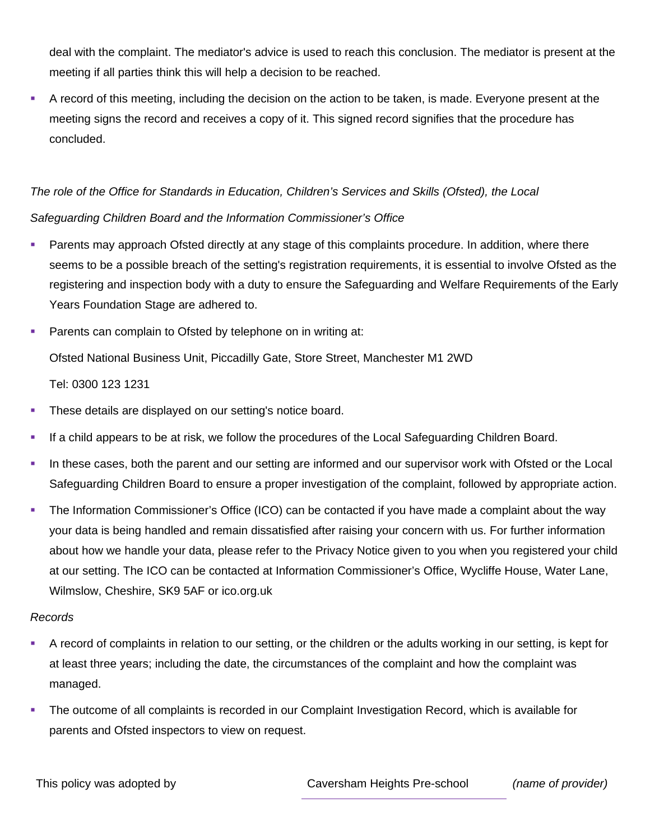deal with the complaint. The mediator's advice is used to reach this conclusion. The mediator is present at the meeting if all parties think this will help a decision to be reached.

 A record of this meeting, including the decision on the action to be taken, is made. Everyone present at the meeting signs the record and receives a copy of it. This signed record signifies that the procedure has concluded.

*The role of the Office for Standards in Education, Children's Services and Skills (Ofsted), the Local Safeguarding Children Board and the Information Commissioner's Office*

**Parents may approach Ofsted directly at any stage of this complaints procedure. In addition, where there** seems to be a possible breach of the setting's registration requirements, it is essential to involve Ofsted as the registering and inspection body with a duty to ensure the Safeguarding and Welfare Requirements of the Early Years Foundation Stage are adhered to.

**Parents can complain to Ofsted by telephone on in writing at:** Ofsted National Business Unit, Piccadilly Gate, Store Street, Manchester M1 2WD

Tel: 0300 123 1231

- **These details are displayed on our setting's notice board.**
- If a child appears to be at risk, we follow the procedures of the Local Safeguarding Children Board.
- In these cases, both the parent and our setting are informed and our supervisor work with Ofsted or the Local Safeguarding Children Board to ensure a proper investigation of the complaint, followed by appropriate action.
- The Information Commissioner's Office (ICO) can be contacted if you have made a complaint about the way your data is being handled and remain dissatisfied after raising your concern with us. For further information about how we handle your data, please refer to the Privacy Notice given to you when you registered your child at our setting. The ICO can be contacted at Information Commissioner's Office, Wycliffe House, Water Lane, Wilmslow, Cheshire, SK9 5AF or ico.org.uk

## *Records*

- A record of complaints in relation to our setting, or the children or the adults working in our setting, is kept for at least three years; including the date, the circumstances of the complaint and how the complaint was managed.
- The outcome of all complaints is recorded in our Complaint Investigation Record, which is available for parents and Ofsted inspectors to view on request.

This policy was adopted by Caversham Heights Pre-school *(name of provider)*